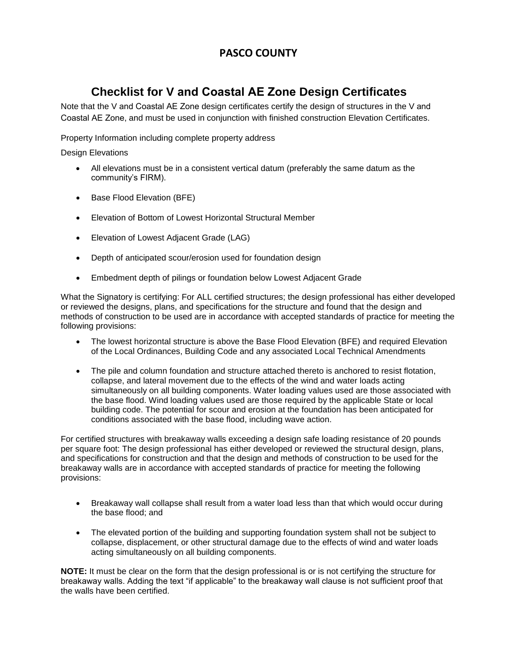### **PASCO COUNTY**

# **Checklist for V and Coastal AE Zone Design Certificates**

Note that the V and Coastal AE Zone design certificates certify the design of structures in the V and Coastal AE Zone, and must be used in conjunction with finished construction Elevation Certificates.

Property Information including complete property address

Design Elevations

- All elevations must be in a consistent vertical datum (preferably the same datum as the community's FIRM).
- Base Flood Elevation (BFE)
- Elevation of Bottom of Lowest Horizontal Structural Member
- Elevation of Lowest Adjacent Grade (LAG)
- Depth of anticipated scour/erosion used for foundation design
- Embedment depth of pilings or foundation below Lowest Adjacent Grade

What the Signatory is certifying: For ALL certified structures; the design professional has either developed or reviewed the designs, plans, and specifications for the structure and found that the design and methods of construction to be used are in accordance with accepted standards of practice for meeting the following provisions:

- The lowest horizontal structure is above the Base Flood Elevation (BFE) and required Elevation of the Local Ordinances, Building Code and any associated Local Technical Amendments
- The pile and column foundation and structure attached thereto is anchored to resist flotation, collapse, and lateral movement due to the effects of the wind and water loads acting simultaneously on all building components. Water loading values used are those associated with the base flood. Wind loading values used are those required by the applicable State or local building code. The potential for scour and erosion at the foundation has been anticipated for conditions associated with the base flood, including wave action.

For certified structures with breakaway walls exceeding a design safe loading resistance of 20 pounds per square foot: The design professional has either developed or reviewed the structural design, plans, and specifications for construction and that the design and methods of construction to be used for the breakaway walls are in accordance with accepted standards of practice for meeting the following provisions:

- Breakaway wall collapse shall result from a water load less than that which would occur during the base flood; and
- The elevated portion of the building and supporting foundation system shall not be subject to collapse, displacement, or other structural damage due to the effects of wind and water loads acting simultaneously on all building components.

**NOTE:** It must be clear on the form that the design professional is or is not certifying the structure for breakaway walls. Adding the text "if applicable" to the breakaway wall clause is not sufficient proof that the walls have been certified.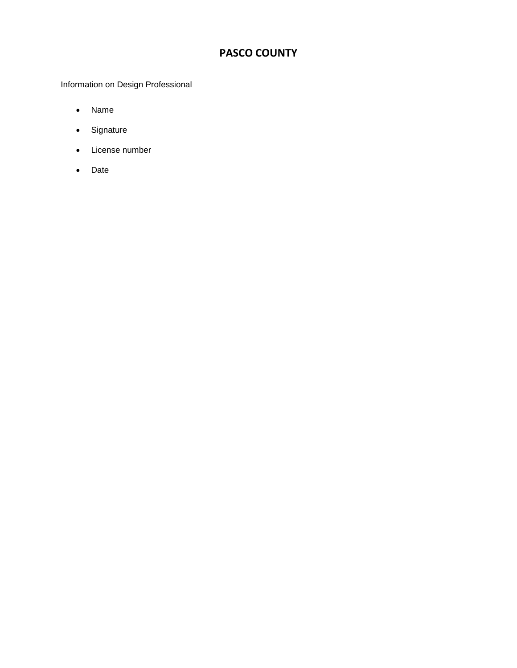## **PASCO COUNTY**

Information on Design Professional

- Name
- Signature
- License number
- Date